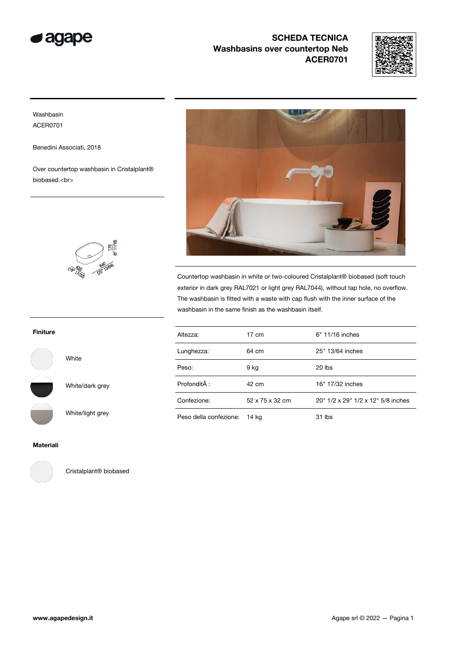



### Washbasin ACER0701

Benedini Associati, 2018

Over countertop washbasin in Cristalplant® biobased.<br>

 $\frac{170}{3811/160}$ 



Countertop washbasin in white or two-coloured Cristalplant® biobased (soft touch exterior in dark grey RAL7021 or light grey RAL7044), without tap hole, no overflow. The washbasin is fitted with a waste with cap flush with the inner surface of the washbasin in the same finish as the washbasin itself.

| Altezza:               | $17 \text{ cm}$ | 6" 11/16 inches                    |
|------------------------|-----------------|------------------------------------|
| Lunghezza:             | 64 cm           | 25" 13/64 inches                   |
| Peso:                  | 9 kg            | $20$ lbs                           |
| Profondità :           | 42 cm           | 16" 17/32 inches                   |
| Confezione:            | 52 x 75 x 32 cm | 20" 1/2 x 29" 1/2 x 12" 5/8 inches |
| Peso della confezione: | 14 kg           | 31 lbs                             |

Finiture

White

White/dark grey

White/light grey

Materiali



Cristalplant® biobased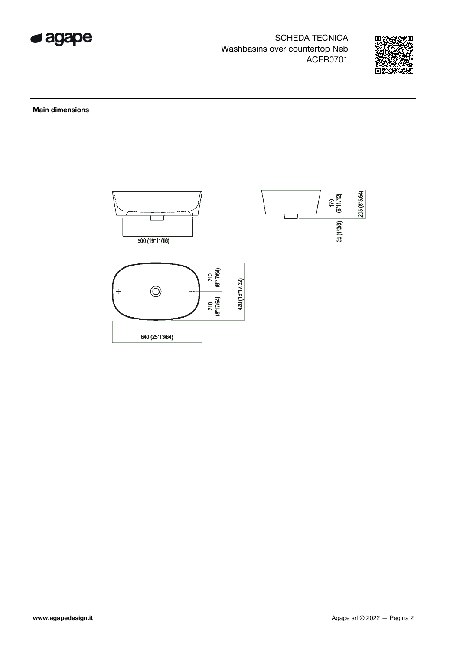



Main dimensions

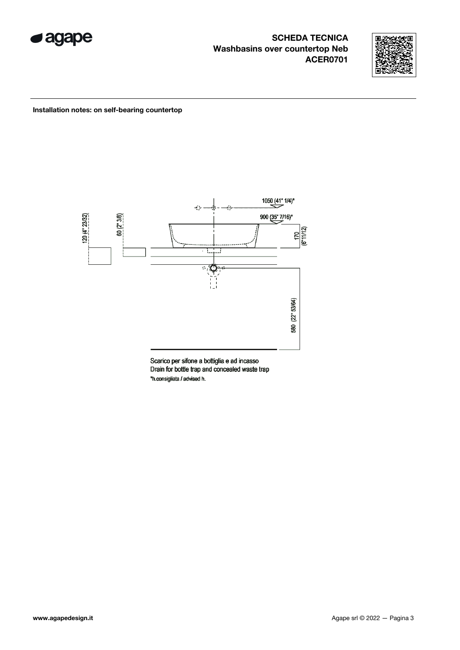



#### Installation notes: on self-bearing countertop



Scarico per sifone a bottiglia e ad incasso Drain for bottle trap and concealed waste trap \*h.consigliata / advised h.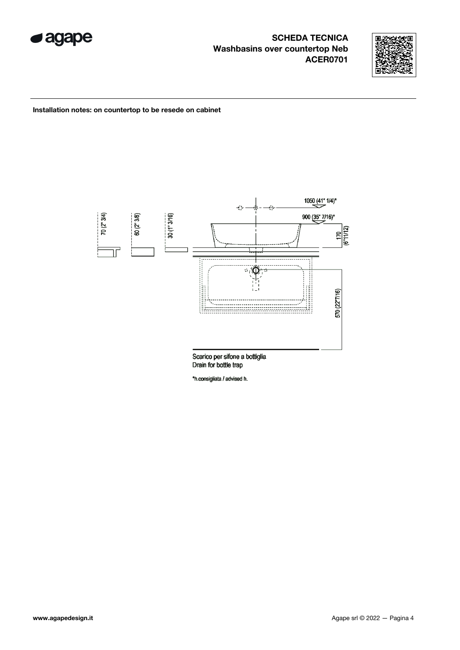



Installation notes: on countertop to be resede on cabinet



\*h.consigliata / advised h.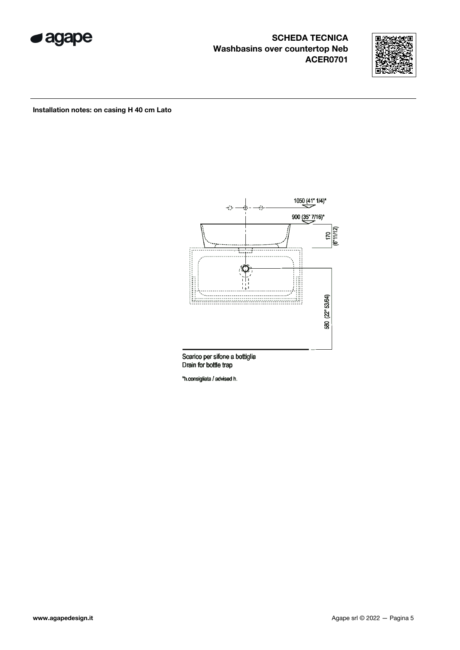



#### Installation notes: on casing H 40 cm Lato



Drain for bottle trap

\*h.consigliata / advised h.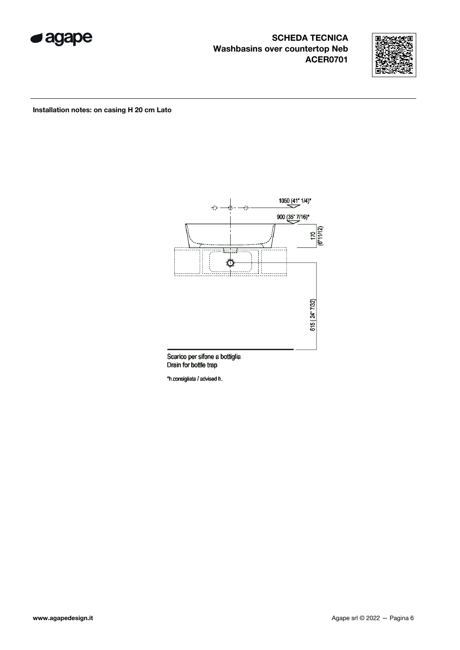



Installation notes: on casing H 20 cm Lato



Drain for bottle trap

\*h.consigliata / advised h.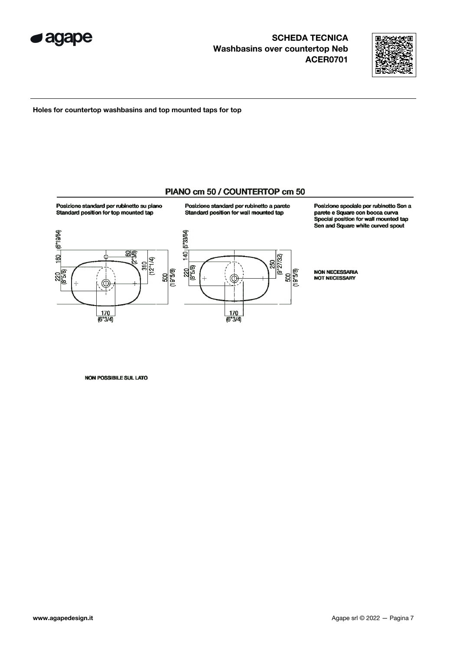



Holes for countertop washbasins and top mounted taps for top

### PIANO cm 50 / COUNTERTOP cm 50



Posizione standard per rubinetto su piano



140 | 5"3364)  $\frac{250}{(9'27/32)}$ 220  $\frac{500}{(19^{15}/9)}$ 

 $\frac{170}{6^{8}3/4}$ 

Posizione speciale per rubinetto Sen a parete e Square con bocca curva Special position for wall mounted tap Sen and Square white curved spout

**NON NECESSARIA** NOT NECESSARY

NON POSSIBILE SUL LATO